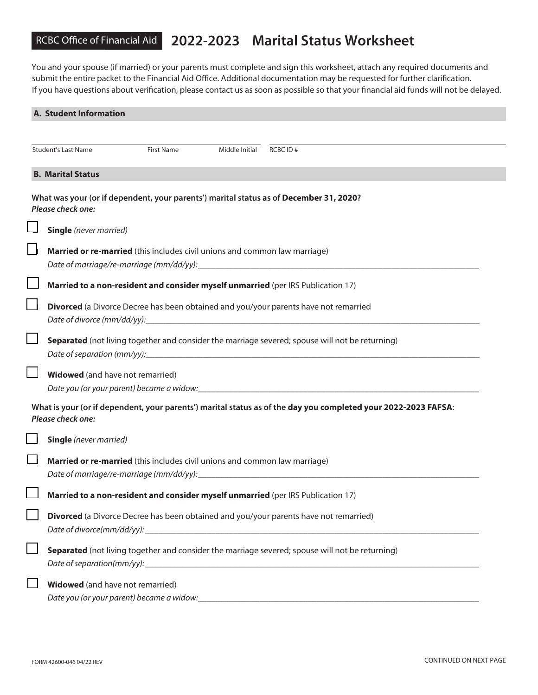## RCBC Office of Financial Aid **2022-2023 Marital Status Worksheet**

You and your spouse (if married) or your parents must complete and sign this worksheet, attach any required documents and submit the entire packet to the Financial Aid Office. Additional documentation may be requested for further clarification. If you have questions about verification, please contact us as soon as possible so that your financial aid funds will not be delayed.

| A. Student Information        |                                                                                                                                                                                                                                                                                                                                  |  |  |  |
|-------------------------------|----------------------------------------------------------------------------------------------------------------------------------------------------------------------------------------------------------------------------------------------------------------------------------------------------------------------------------|--|--|--|
|                               |                                                                                                                                                                                                                                                                                                                                  |  |  |  |
| <b>Student's Last Name</b>    | <b>First Name</b><br>Middle Initial<br>RCBC ID#                                                                                                                                                                                                                                                                                  |  |  |  |
| <b>B. Marital Status</b>      |                                                                                                                                                                                                                                                                                                                                  |  |  |  |
| Please check one:             | What was your (or if dependent, your parents') marital status as of December 31, 2020?                                                                                                                                                                                                                                           |  |  |  |
| <b>Single</b> (never married) |                                                                                                                                                                                                                                                                                                                                  |  |  |  |
|                               | Married or re-married (this includes civil unions and common law marriage)                                                                                                                                                                                                                                                       |  |  |  |
|                               | Married to a non-resident and consider myself unmarried (per IRS Publication 17)                                                                                                                                                                                                                                                 |  |  |  |
|                               | Divorced (a Divorce Decree has been obtained and you/your parents have not remarried                                                                                                                                                                                                                                             |  |  |  |
|                               | Separated (not living together and consider the marriage severed; spouse will not be returning)                                                                                                                                                                                                                                  |  |  |  |
|                               | <b>Widowed</b> (and have not remarried)<br>Date you (or your parent) became a widow:<br>                                                                                                                                                                                                                                         |  |  |  |
| Please check one:             | What is your (or if dependent, your parents') marital status as of the day you completed your 2022-2023 FAFSA:                                                                                                                                                                                                                   |  |  |  |
| <b>Single</b> (never married) |                                                                                                                                                                                                                                                                                                                                  |  |  |  |
|                               | Married or re-married (this includes civil unions and common law marriage)                                                                                                                                                                                                                                                       |  |  |  |
|                               | Married to a non-resident and consider myself unmarried (per IRS Publication 17)                                                                                                                                                                                                                                                 |  |  |  |
|                               | Divorced (a Divorce Decree has been obtained and you/your parents have not remarried)<br>Date of divorce(mm/dd/yy): example and a series of the series of the series of the series of the series of the series of the series of the series of the series of the series of the series of the series of the series of the          |  |  |  |
|                               | Separated (not living together and consider the marriage severed; spouse will not be returning)<br>Date of separation(mm/yy): example of the set of the set of the set of the set of the set of the set of the set of the set of the set of the set of the set of the set of the set of the set of the set of the set of the set |  |  |  |
|                               | <b>Widowed</b> (and have not remarried)                                                                                                                                                                                                                                                                                          |  |  |  |